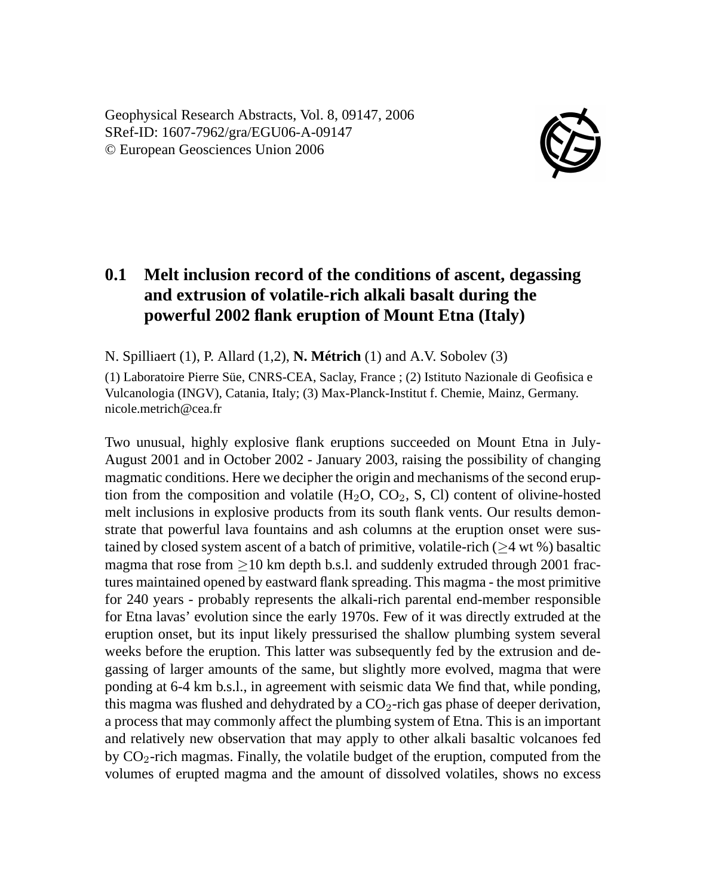Geophysical Research Abstracts, Vol. 8, 09147, 2006 SRef-ID: 1607-7962/gra/EGU06-A-09147 © European Geosciences Union 2006



## **0.1 Melt inclusion record of the conditions of ascent, degassing and extrusion of volatile-rich alkali basalt during the powerful 2002 flank eruption of Mount Etna (Italy)**

N. Spilliaert (1), P. Allard (1,2), **N. Métrich** (1) and A.V. Sobolev (3)

(1) Laboratoire Pierre Süe, CNRS-CEA, Saclay, France ; (2) Istituto Nazionale di Geofisica e Vulcanologia (INGV), Catania, Italy; (3) Max-Planck-Institut f. Chemie, Mainz, Germany. nicole.metrich@cea.fr

Two unusual, highly explosive flank eruptions succeeded on Mount Etna in July-August 2001 and in October 2002 - January 2003, raising the possibility of changing magmatic conditions. Here we decipher the origin and mechanisms of the second eruption from the composition and volatile  $(H_2O, CO_2, S, Cl)$  content of olivine-hosted melt inclusions in explosive products from its south flank vents. Our results demonstrate that powerful lava fountains and ash columns at the eruption onset were sustained by closed system ascent of a batch of primitive, volatile-rich (≥4 wt %) basaltic magma that rose from  $>10$  km depth b.s.l. and suddenly extruded through 2001 fractures maintained opened by eastward flank spreading. This magma - the most primitive for 240 years - probably represents the alkali-rich parental end-member responsible for Etna lavas' evolution since the early 1970s. Few of it was directly extruded at the eruption onset, but its input likely pressurised the shallow plumbing system several weeks before the eruption. This latter was subsequently fed by the extrusion and degassing of larger amounts of the same, but slightly more evolved, magma that were ponding at 6-4 km b.s.l., in agreement with seismic data We find that, while ponding, this magma was flushed and dehydrated by a  $CO_2$ -rich gas phase of deeper derivation, a process that may commonly affect the plumbing system of Etna. This is an important and relatively new observation that may apply to other alkali basaltic volcanoes fed by  $CO<sub>2</sub>$ -rich magmas. Finally, the volatile budget of the eruption, computed from the volumes of erupted magma and the amount of dissolved volatiles, shows no excess